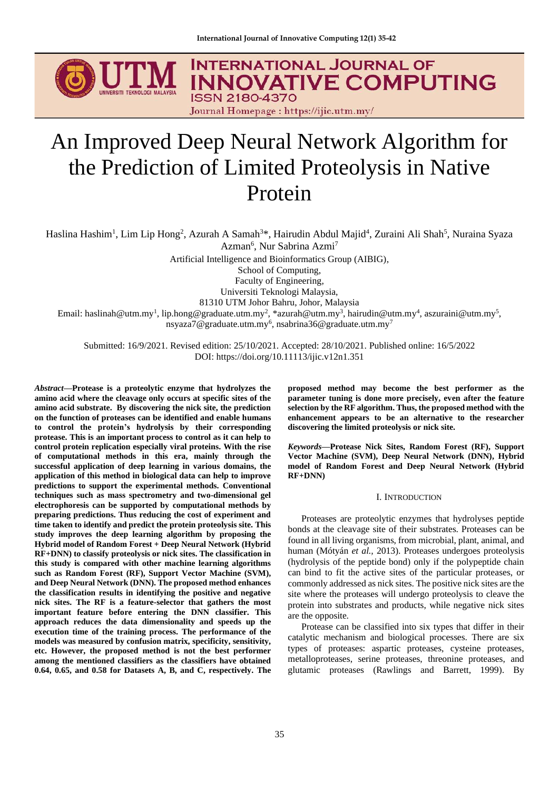

# An Improved Deep Neural Network Algorithm for the Prediction of Limited Proteolysis in Native Protein

Haslina Hashim<sup>1</sup>, Lim Lip Hong<sup>2</sup>, Azurah A Samah<sup>3\*</sup>, Hairudin Abdul Majid<sup>4</sup>, Zuraini Ali Shah<sup>5</sup>, Nuraina Syaza Azman<sup>6</sup>, Nur Sabrina Azmi<sup>7</sup>

Artificial Intelligence and Bioinformatics Group (AIBIG),

School of Computing,

Faculty of Engineering,

Universiti Teknologi Malaysia,

81310 UTM Johor Bahru, Johor, Malaysia

Email: haslinah@utm.my<sup>1</sup>, lip.hong@graduate.utm.my<sup>2</sup>, \*azurah@utm.my<sup>3</sup>, hairudin@utm.my<sup>4</sup>, aszuraini@utm.my<sup>5</sup>, nsyaza $7@$ graduate.utm.my<sup>6</sup>, nsabrina $36@$ graduate.utm.my $^7$ 

Submitted: 16/9/2021. Revised edition: 25/10/2021. Accepted: 28/10/2021. Published online: 16/5/2022 DOI: https://doi.org/10.11113/ijic.v12n1.351

*Abstract***—Protease is a proteolytic enzyme that hydrolyzes the amino acid where the cleavage only occurs at specific sites of the amino acid substrate. By discovering the nick site, the prediction on the function of proteases can be identified and enable humans to control the protein's hydrolysis by their corresponding protease. This is an important process to control as it can help to control protein replication especially viral proteins. With the rise of computational methods in this era, mainly through the successful application of deep learning in various domains, the application of this method in biological data can help to improve predictions to support the experimental methods. Conventional techniques such as mass spectrometry and two-dimensional gel electrophoresis can be supported by computational methods by preparing predictions. Thus reducing the cost of experiment and time taken to identify and predict the protein proteolysis site. This study improves the deep learning algorithm by proposing the Hybrid model of Random Forest + Deep Neural Network (Hybrid RF+DNN) to classify proteolysis or nick sites. The classification in this study is compared with other machine learning algorithms such as Random Forest (RF), Support Vector Machine (SVM), and Deep Neural Network (DNN). The proposed method enhances the classification results in identifying the positive and negative nick sites. The RF is a feature-selector that gathers the most important feature before entering the DNN classifier. This approach reduces the data dimensionality and speeds up the execution time of the training process. The performance of the models was measured by confusion matrix, specificity, sensitivity, etc. However, the proposed method is not the best performer among the mentioned classifiers as the classifiers have obtained 0.64, 0.65, and 0.58 for Datasets A, B, and C, respectively. The**

**proposed method may become the best performer as the parameter tuning is done more precisely, even after the feature selection by the RF algorithm. Thus, the proposed method with the enhancement appears to be an alternative to the researcher discovering the limited proteolysis or nick site.**

*Keywords***—Protease Nick Sites, Random Forest (RF), Support Vector Machine (SVM), Deep Neural Network (DNN), Hybrid model of Random Forest and Deep Neural Network (Hybrid RF+DNN)**

## I. INTRODUCTION

Proteases are proteolytic enzymes that hydrolyses peptide bonds at the cleavage site of their substrates. Proteases can be found in all living organisms, from microbial, plant, animal, and human (Mótyán *et al.,* 2013). Proteases undergoes proteolysis (hydrolysis of the peptide bond) only if the polypeptide chain can bind to fit the active sites of the particular proteases, or commonly addressed as nick sites. The positive nick sites are the site where the proteases will undergo proteolysis to cleave the protein into substrates and products, while negative nick sites are the opposite.

Protease can be classified into six types that differ in their catalytic mechanism and biological processes. There are six types of proteases: aspartic proteases, cysteine proteases, metalloproteases, serine proteases, threonine proteases, and glutamic proteases (Rawlings and Barrett, 1999). By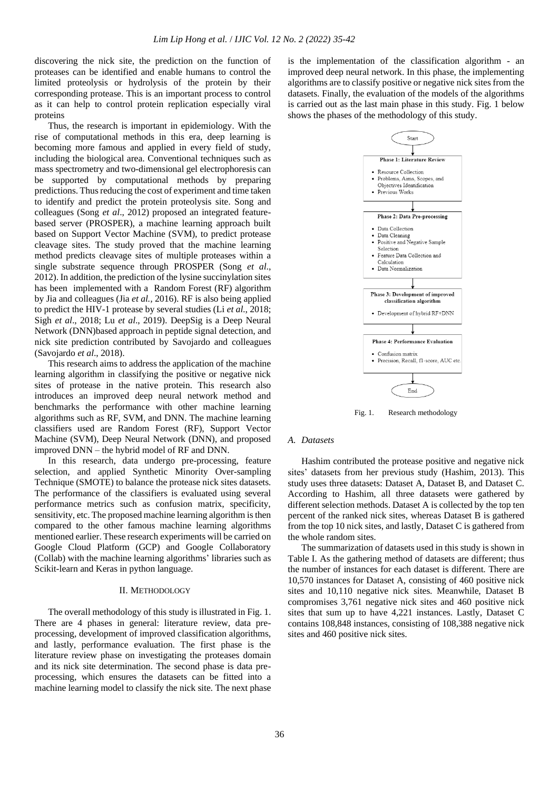discovering the nick site, the prediction on the function of proteases can be identified and enable humans to control the limited proteolysis or hydrolysis of the protein by their corresponding protease. This is an important process to control as it can help to control protein replication especially viral proteins

Thus, the research is important in epidemiology. With the rise of computational methods in this era, deep learning is becoming more famous and applied in every field of study, including the biological area. Conventional techniques such as mass spectrometry and two-dimensional gel electrophoresis can be supported by computational methods by preparing predictions. Thus reducing the cost of experiment and time taken to identify and predict the protein proteolysis site. Song and colleagues (Song *et al*., 2012) proposed an integrated featurebased server (PROSPER), a machine learning approach built based on Support Vector Machine (SVM), to predict protease cleavage sites. The study proved that the machine learning method predicts cleavage sites of multiple proteases within a single substrate sequence through PROSPER (Song *et al*., 2012). In addition, the prediction of the lysine succinylation sites has been implemented with a Random Forest (RF) algorithm by Jia and colleagues (Jia *et al.,* 2016). RF is also being applied to predict the HIV-1 protease by several studies (Li *et al*., 2018; Sigh *et al*., 2018; Lu *et al*., 2019). DeepSig is a Deep Neural Network (DNN)based approach in peptide signal detection, and nick site prediction contributed by Savojardo and colleagues (Savojardo *et al*., 2018).

This research aims to address the application of the machine learning algorithm in classifying the positive or negative nick sites of protease in the native protein. This research also introduces an improved deep neural network method and benchmarks the performance with other machine learning algorithms such as RF, SVM, and DNN. The machine learning classifiers used are Random Forest (RF), Support Vector Machine (SVM), Deep Neural Network (DNN), and proposed improved DNN – the hybrid model of RF and DNN.

In this research, data undergo pre-processing, feature selection, and applied Synthetic Minority Over-sampling Technique (SMOTE) to balance the protease nick sites datasets. The performance of the classifiers is evaluated using several performance metrics such as confusion matrix, specificity, sensitivity, etc. The proposed machine learning algorithm is then compared to the other famous machine learning algorithms mentioned earlier. These research experiments will be carried on Google Cloud Platform (GCP) and Google Collaboratory (Collab) with the machine learning algorithms' libraries such as Scikit-learn and Keras in python language.

# II. METHODOLOGY

The overall methodology of this study is illustrated in Fig. 1. There are 4 phases in general: literature review, data preprocessing, development of improved classification algorithms, and lastly, performance evaluation. The first phase is the literature review phase on investigating the proteases domain and its nick site determination. The second phase is data preprocessing, which ensures the datasets can be fitted into a machine learning model to classify the nick site. The next phase

is the implementation of the classification algorithm - an improved deep neural network. In this phase, the implementing algorithms are to classify positive or negative nick sites from the datasets. Finally, the evaluation of the models of the algorithms is carried out as the last main phase in this study. Fig. 1 below shows the phases of the methodology of this study.



Fig. 1. Research methodology

## *A. Datasets*

Hashim contributed the protease positive and negative nick sites' datasets from her previous study (Hashim, 2013). This study uses three datasets: Dataset A, Dataset B, and Dataset C. According to Hashim, all three datasets were gathered by different selection methods. Dataset A is collected by the top ten percent of the ranked nick sites, whereas Dataset B is gathered from the top 10 nick sites, and lastly, Dataset C is gathered from the whole random sites.

The summarization of datasets used in this study is shown in Table I. As the gathering method of datasets are different; thus the number of instances for each dataset is different. There are 10,570 instances for Dataset A, consisting of 460 positive nick sites and 10,110 negative nick sites. Meanwhile, Dataset B compromises 3,761 negative nick sites and 460 positive nick sites that sum up to have 4,221 instances. Lastly, Dataset C contains 108,848 instances, consisting of 108,388 negative nick sites and 460 positive nick sites.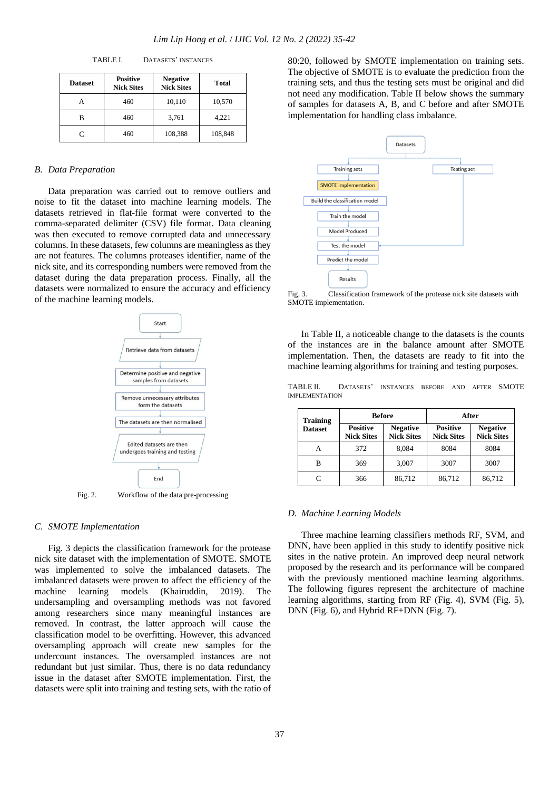| <b>Dataset</b> | <b>Positive</b><br><b>Nick Sites</b> | <b>Negative</b><br><b>Nick Sites</b> | <b>Total</b> |  |
|----------------|--------------------------------------|--------------------------------------|--------------|--|
| А              | 460                                  | 10,110                               | 10,570       |  |
| в              | 460                                  | 3,761                                | 4,221        |  |
|                | 460                                  | 108,388                              | 108,848      |  |

TABLE I. DATASETS' INSTANCES

## *B. Data Preparation*

Data preparation was carried out to remove outliers and noise to fit the dataset into machine learning models. The datasets retrieved in flat-file format were converted to the comma-separated delimiter (CSV) file format. Data cleaning was then executed to remove corrupted data and unnecessary columns. In these datasets, few columns are meaningless as they are not features. The columns proteases identifier, name of the nick site, and its corresponding numbers were removed from the dataset during the data preparation process. Finally, all the datasets were normalized to ensure the accuracy and efficiency of the machine learning models.



Fig. 2. Workflow of the data pre-processing

#### *C. SMOTE Implementation*

Fig. 3 depicts the classification framework for the protease nick site dataset with the implementation of SMOTE. SMOTE was implemented to solve the imbalanced datasets. The imbalanced datasets were proven to affect the efficiency of the machine learning models (Khairuddin, 2019). The undersampling and oversampling methods was not favored among researchers since many meaningful instances are removed. In contrast, the latter approach will cause the classification model to be overfitting. However, this advanced oversampling approach will create new samples for the undercount instances. The oversampled instances are not redundant but just similar. Thus, there is no data redundancy issue in the dataset after SMOTE implementation. First, the datasets were split into training and testing sets, with the ratio of

80:20, followed by SMOTE implementation on training sets. The objective of SMOTE is to evaluate the prediction from the training sets, and thus the testing sets must be original and did not need any modification. Table II below shows the summary of samples for datasets A, B, and C before and after SMOTE implementation for handling class imbalance.



Fig. 3. Classification framework of the protease nick site datasets with SMOTE implementation.

In Table II, a noticeable change to the datasets is the counts of the instances are in the balance amount after SMOTE implementation. Then, the datasets are ready to fit into the machine learning algorithms for training and testing purposes.

TABLE II. DATASETS' INSTANCES BEFORE AND AFTER SMOTE IMPLEMENTATION

| <b>Training</b><br><b>Dataset</b> | <b>Before</b>                        |                                      | After                                |                                      |  |
|-----------------------------------|--------------------------------------|--------------------------------------|--------------------------------------|--------------------------------------|--|
|                                   | <b>Positive</b><br><b>Nick Sites</b> | <b>Negative</b><br><b>Nick Sites</b> | <b>Positive</b><br><b>Nick Sites</b> | <b>Negative</b><br><b>Nick Sites</b> |  |
| А                                 | 372                                  | 8.084                                | 8084                                 | 8084                                 |  |
| В                                 | 369                                  | 3,007                                | 3007                                 | 3007                                 |  |
| C                                 | 366                                  | 86,712                               | 86,712                               | 86,712                               |  |

#### *D. Machine Learning Models*

Three machine learning classifiers methods RF, SVM, and DNN, have been applied in this study to identify positive nick sites in the native protein. An improved deep neural network proposed by the research and its performance will be compared with the previously mentioned machine learning algorithms. The following figures represent the architecture of machine learning algorithms, starting from RF (Fig. 4), SVM (Fig. 5), DNN (Fig. 6), and Hybrid RF+DNN (Fig. 7).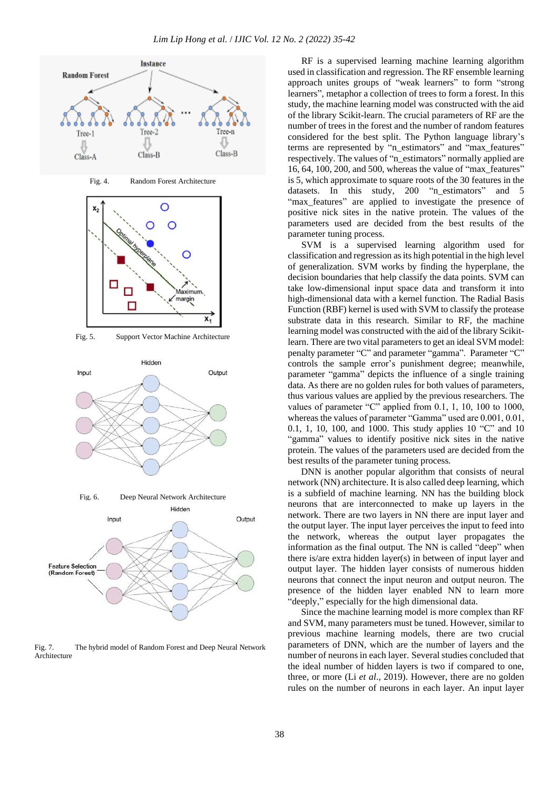

Fig. 7. The hybrid model of Random Forest and Deep Neural Network Architecture

RF is a supervised learning machine learning algorithm used in classification and regression. The RF ensemble learning approach unites groups of "weak learners" to form "strong learners", metaphor a collection of trees to form a forest. In this study, the machine learning model was constructed with the aid of the library Scikit-learn. The crucial parameters of RF are the number of trees in the forest and the number of random features considered for the best split. The Python language library's terms are represented by "n\_estimators" and "max\_features" respectively. The values of "n\_estimators" normally applied are 16, 64, 100, 200, and 500, whereas the value of "max\_features" is 5, which approximate to square roots of the 30 features in the datasets. In this study, 200 "n\_estimators" and 5 "max features" are applied to investigate the presence of positive nick sites in the native protein. The values of the parameters used are decided from the best results of the parameter tuning process.

SVM is a supervised learning algorithm used for classification and regression as its high potential in the high level of generalization. SVM works by finding the hyperplane, the decision boundaries that help classify the data points. SVM can take low-dimensional input space data and transform it into high-dimensional data with a kernel function. The Radial Basis Function (RBF) kernel is used with SVM to classify the protease substrate data in this research. Similar to RF, the machine learning model was constructed with the aid of the library Scikitlearn. There are two vital parameters to get an ideal SVM model: penalty parameter "C" and parameter "gamma". Parameter "C" controls the sample error's punishment degree; meanwhile, parameter "gamma" depicts the influence of a single training data. As there are no golden rules for both values of parameters, thus various values are applied by the previous researchers. The values of parameter "C" applied from 0.1, 1, 10, 100 to 1000, whereas the values of parameter "Gamma" used are 0.001, 0.01, 0.1, 1, 10, 100, and 1000. This study applies 10 "C" and 10 "gamma" values to identify positive nick sites in the native protein. The values of the parameters used are decided from the best results of the parameter tuning process.

DNN is another popular algorithm that consists of neural network (NN) architecture. It is also called deep learning, which is a subfield of machine learning. NN has the building block neurons that are interconnected to make up layers in the network. There are two layers in NN there are input layer and the output layer. The input layer perceives the input to feed into the network, whereas the output layer propagates the information as the final output. The NN is called "deep" when there is/are extra hidden layer(s) in between of input layer and output layer. The hidden layer consists of numerous hidden neurons that connect the input neuron and output neuron. The presence of the hidden layer enabled NN to learn more "deeply," especially for the high dimensional data.

Since the machine learning model is more complex than RF and SVM, many parameters must be tuned. However, similar to previous machine learning models, there are two crucial parameters of DNN, which are the number of layers and the number of neurons in each layer. Several studies concluded that the ideal number of hidden layers is two if compared to one, three, or more (Li *et al*., 2019). However, there are no golden rules on the number of neurons in each layer. An input layer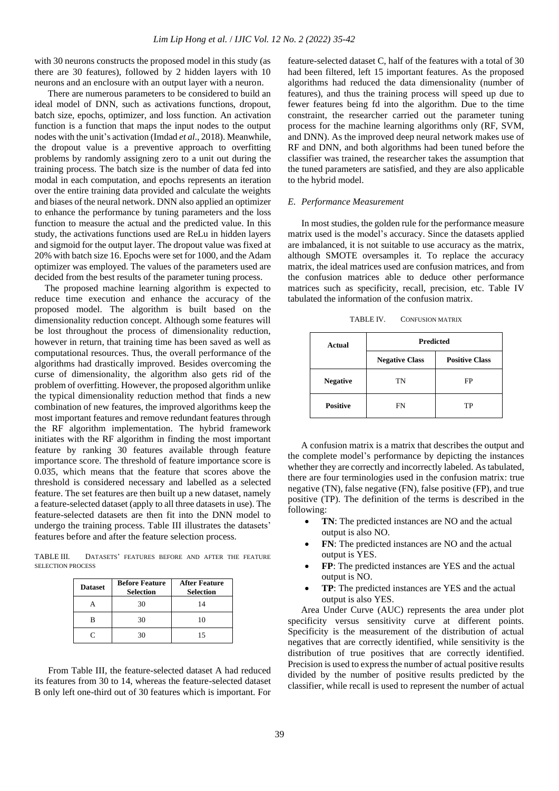with 30 neurons constructs the proposed model in this study (as there are 30 features), followed by 2 hidden layers with 10 neurons and an enclosure with an output layer with a neuron.

There are numerous parameters to be considered to build an ideal model of DNN, such as activations functions, dropout, batch size, epochs, optimizer, and loss function. An activation function is a function that maps the input nodes to the output nodes with the unit's activation (Imdad *et al*., 2018). Meanwhile, the dropout value is a preventive approach to overfitting problems by randomly assigning zero to a unit out during the training process. The batch size is the number of data fed into modal in each computation, and epochs represents an iteration over the entire training data provided and calculate the weights and biases of the neural network. DNN also applied an optimizer to enhance the performance by tuning parameters and the loss function to measure the actual and the predicted value. In this study, the activations functions used are ReLu in hidden layers and sigmoid for the output layer. The dropout value was fixed at 20% with batch size 16. Epochs were set for 1000, and the Adam optimizer was employed. The values of the parameters used are decided from the best results of the parameter tuning process.

The proposed machine learning algorithm is expected to reduce time execution and enhance the accuracy of the proposed model. The algorithm is built based on the dimensionality reduction concept. Although some features will be lost throughout the process of dimensionality reduction, however in return, that training time has been saved as well as computational resources. Thus, the overall performance of the algorithms had drastically improved. Besides overcoming the curse of dimensionality, the algorithm also gets rid of the problem of overfitting. However, the proposed algorithm unlike the typical dimensionality reduction method that finds a new combination of new features, the improved algorithms keep the most important features and remove redundant features through the RF algorithm implementation. The hybrid framework initiates with the RF algorithm in finding the most important feature by ranking 30 features available through feature importance score. The threshold of feature importance score is 0.035, which means that the feature that scores above the threshold is considered necessary and labelled as a selected feature. The set features are then built up a new dataset, namely a feature-selected dataset (apply to all three datasets in use). The feature-selected datasets are then fit into the DNN model to undergo the training process. Table III illustrates the datasets' features before and after the feature selection process.

TABLE III. DATASETS' FEATURES BEFORE AND AFTER THE FEATURE SELECTION PROCESS

| <b>Dataset</b> | <b>Before Feature</b><br><b>Selection</b> | <b>After Feature</b><br><b>Selection</b> |  |  |
|----------------|-------------------------------------------|------------------------------------------|--|--|
|                | 30                                        | 14                                       |  |  |
| в              | 30                                        | 10                                       |  |  |
|                | 30                                        | 15                                       |  |  |

From Table III, the feature-selected dataset A had reduced its features from 30 to 14, whereas the feature-selected dataset B only left one-third out of 30 features which is important. For

feature-selected dataset C, half of the features with a total of 30 had been filtered, left 15 important features. As the proposed algorithms had reduced the data dimensionality (number of features), and thus the training process will speed up due to fewer features being fd into the algorithm. Due to the time constraint, the researcher carried out the parameter tuning process for the machine learning algorithms only (RF, SVM, and DNN). As the improved deep neural network makes use of RF and DNN, and both algorithms had been tuned before the classifier was trained, the researcher takes the assumption that the tuned parameters are satisfied, and they are also applicable to the hybrid model.

## *E. Performance Measurement*

In most studies, the golden rule for the performance measure matrix used is the model's accuracy. Since the datasets applied are imbalanced, it is not suitable to use accuracy as the matrix, although SMOTE oversamples it. To replace the accuracy matrix, the ideal matrices used are confusion matrices, and from the confusion matrices able to deduce other performance matrices such as specificity, recall, precision, etc. Table IV tabulated the information of the confusion matrix.

TABLE IV. CONFUSION MATRIX

| Actual          | <b>Predicted</b>      |                       |  |  |
|-----------------|-----------------------|-----------------------|--|--|
|                 | <b>Negative Class</b> | <b>Positive Class</b> |  |  |
| <b>Negative</b> | <b>TN</b>             | FP                    |  |  |
| <b>Positive</b> | <b>FN</b>             | TP                    |  |  |

A confusion matrix is a matrix that describes the output and the complete model's performance by depicting the instances whether they are correctly and incorrectly labeled. As tabulated, there are four terminologies used in the confusion matrix: true negative (TN), false negative (FN), false positive (FP), and true positive (TP). The definition of the terms is described in the following:

- **TN**: The predicted instances are NO and the actual output is also NO.
- **FN**: The predicted instances are NO and the actual output is YES.
- **FP**: The predicted instances are YES and the actual output is NO.
- **TP**: The predicted instances are YES and the actual output is also YES.

Area Under Curve (AUC) represents the area under plot specificity versus sensitivity curve at different points. Specificity is the measurement of the distribution of actual negatives that are correctly identified, while sensitivity is the distribution of true positives that are correctly identified. Precision is used to express the number of actual positive results divided by the number of positive results predicted by the classifier, while recall is used to represent the number of actual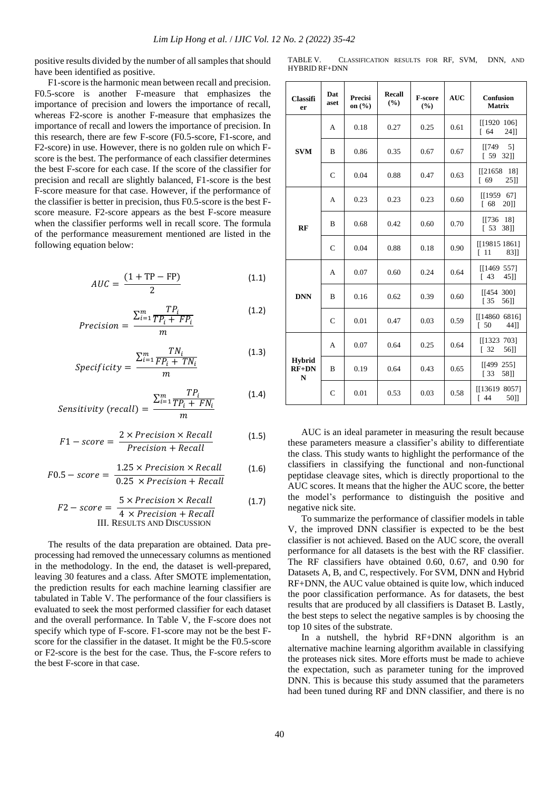positive results divided by the number of all samples that should have been identified as positive.

F1-score is the harmonic mean between recall and precision. F0.5-score is another F-measure that emphasizes the importance of precision and lowers the importance of recall, whereas F2-score is another F-measure that emphasizes the importance of recall and lowers the importance of precision. In this research, there are few F-score (F0.5-score, F1-score, and F2-score) in use. However, there is no golden rule on which Fscore is the best. The performance of each classifier determines the best F-score for each case. If the score of the classifier for precision and recall are slightly balanced, F1-score is the best F-score measure for that case. However, if the performance of the classifier is better in precision, thus F0.5-score is the best Fscore measure. F2-score appears as the best F-score measure when the classifier performs well in recall score. The formula of the performance measurement mentioned are listed in the following equation below:

$$
AUC = \frac{(1 + TP - FP)}{2} \tag{1.1}
$$

$$
Precision = \frac{\sum_{i=1}^{m} \frac{TP_i}{TP_i + FP_i}}{m}
$$
(1.2)

$$
Specificity = \frac{\sum_{i=1}^{m} \frac{TN_i}{FP_i + TN_i}}{m}
$$
\n(1.3)

$$
Sensitivity (recall) = \frac{\sum_{i=1}^{m} \frac{TP_i}{TP_i + FN_i}}{m}
$$
 (1.4)

$$
F1-score = \frac{2 \times Precision \times Recall}{Precision + Recall}
$$
 (1.5)

$$
F0.5 - score = \frac{1.25 \times Precision \times Recall}{0.25 \times Precision + Recall}
$$
 (1.6)

$$
F2 - score = \frac{5 \times Precision \times Recall}{4 \times Precision + Recall}
$$
 (1.7)  
III. RESULTS AND DISCUSSION

The results of the data preparation are obtained. Data preprocessing had removed the unnecessary columns as mentioned in the methodology. In the end, the dataset is well-prepared, leaving 30 features and a class. After SMOTE implementation, the prediction results for each machine learning classifier are tabulated in Table V. The performance of the four classifiers is evaluated to seek the most performed classifier for each dataset and the overall performance. In Table V, the F-score does not specify which type of F-score. F1-score may not be the best Fscore for the classifier in the dataset. It might be the F0.5-score or F2-score is the best for the case. Thus, the F-score refers to the best F-score in that case.

TABLE V. CLASSIFICATION RESULTS FOR RF, SVM, DNN, AND HYBRID RF+DNN

| <b>Classifi</b><br>er                   | Dat<br>aset   | Precisi<br>on $(\% )$ | Recall<br>(%) | <b>F-score</b><br>(%) | <b>AUC</b> | <b>Confusion</b><br><b>Matrix</b>           |
|-----------------------------------------|---------------|-----------------------|---------------|-----------------------|------------|---------------------------------------------|
| <b>SVM</b>                              | A             | 0.18                  | 0.27          | 0.25                  | 0.61       | [1920 106]<br>$\sqrt{64}$<br>2411           |
|                                         | B             | 0.86                  | 0.35          | 0.67                  | 0.67       | 5 <sub>1</sub><br>$\sqrt{1749}$<br>[59 32]  |
|                                         | $\mathsf{C}$  | 0.04                  | 0.88          | 0.47                  | 0.63       | $[$ [21658 18]<br>69<br>2511                |
| RF                                      | А             | 0.23                  | 0.23          | 0.23                  | 0.60       | [1959]<br>671<br>$\sqrt{68}$<br>2011        |
|                                         | B             | 0.68                  | 0.42          | 0.60                  | 0.70       | [[736 18]<br>$[53 \ 38]$                    |
|                                         | $\mathsf{C}$  | 0.04                  | 0.88          | 0.18                  | 0.90       | [[19815 1861]<br>$\lceil 11 \rceil$<br>83]] |
| <b>DNN</b>                              | A             | 0.07                  | 0.60          | 0.24                  | 0.64       | [1469 557]<br>$\lceil 43 \rceil$<br>45]]    |
|                                         | B             | 0.16                  | 0.62          | 0.39                  | 0.60       | [1454 300]<br>135<br>56]]                   |
|                                         | $\mathsf{C}$  | 0.01                  | 0.47          | 0.03                  | 0.59       | [14860 6816]<br>$\lceil 50$<br>44]]         |
| <b>Hybrid</b><br>$RF+DN$<br>$\mathbf N$ | A             | 0.07                  | 0.64          | 0.25                  | 0.64       | [1323 703]<br>$\sqrt{32}$<br>56]]           |
|                                         | B             | 0.19                  | 0.64          | 0.43                  | 0.65       | [1499 255]<br>133<br>58]]                   |
|                                         | $\mathcal{C}$ | 0.01                  | 0.53          | 0.03                  | 0.58       | [[13619 8057]<br>$\lceil 44 \rceil$<br>50]] |

AUC is an ideal parameter in measuring the result because these parameters measure a classifier's ability to differentiate the class. This study wants to highlight the performance of the classifiers in classifying the functional and non-functional peptidase cleavage sites, which is directly proportional to the AUC scores. It means that the higher the AUC score, the better the model's performance to distinguish the positive and negative nick site.

To summarize the performance of classifier models in table V, the improved DNN classifier is expected to be the best classifier is not achieved. Based on the AUC score, the overall performance for all datasets is the best with the RF classifier. The RF classifiers have obtained 0.60, 0.67, and 0.90 for Datasets A, B, and C, respectively. For SVM, DNN and Hybrid RF+DNN, the AUC value obtained is quite low, which induced the poor classification performance. As for datasets, the best results that are produced by all classifiers is Dataset B. Lastly, the best steps to select the negative samples is by choosing the top 10 sites of the substrate.

In a nutshell, the hybrid RF+DNN algorithm is an alternative machine learning algorithm available in classifying the proteases nick sites. More efforts must be made to achieve the expectation, such as parameter tuning for the improved DNN. This is because this study assumed that the parameters had been tuned during RF and DNN classifier, and there is no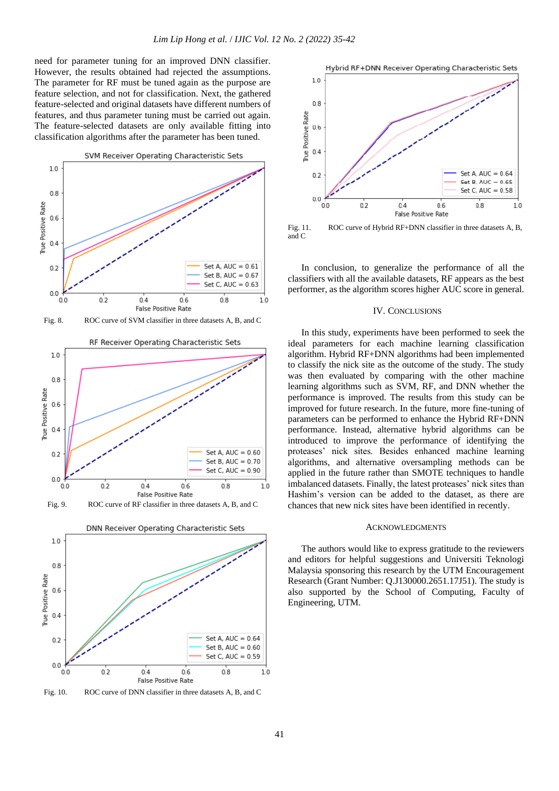need for parameter tuning for an improved DNN classifier. However, the results obtained had rejected the assumptions. The parameter for RF must be tuned again as the purpose are feature selection, and not for classification. Next, the gathered feature-selected and original datasets have different numbers of features, and thus parameter tuning must be carried out again. The feature-selected datasets are only available fitting into classification algorithms after the parameter has been tuned.



Fig. 8. ROC curve of SVM classifier in three datasets A, B, and C





Fig. 10. ROC curve of DNN classifier in three datasets A, B, and C



Fig. 11. ROC curve of Hybrid RF+DNN classifier in three datasets A, B, and C

In conclusion, to generalize the performance of all the classifiers with all the available datasets, RF appears as the best performer, as the algorithm scores higher AUC score in general.

## IV. CONCLUSIONS

In this study, experiments have been performed to seek the ideal parameters for each machine learning classification algorithm. Hybrid RF+DNN algorithms had been implemented to classify the nick site as the outcome of the study. The study was then evaluated by comparing with the other machine learning algorithms such as SVM, RF, and DNN whether the performance is improved. The results from this study can be improved for future research. In the future, more fine-tuning of parameters can be performed to enhance the Hybrid RF+DNN performance. Instead, alternative hybrid algorithms can be introduced to improve the performance of identifying the proteases' nick sites. Besides enhanced machine learning algorithms, and alternative oversampling methods can be applied in the future rather than SMOTE techniques to handle imbalanced datasets. Finally, the latest proteases' nick sites than Hashim's version can be added to the dataset, as there are chances that new nick sites have been identified in recently.

#### ACKNOWLEDGMENTS

The authors would like to express gratitude to the reviewers and editors for helpful suggestions and Universiti Teknologi Malaysia sponsoring this research by the UTM Encouragement Research (Grant Number: Q.J130000.2651.17J51). The study is also supported by the School of Computing, Faculty of Engineering, UTM.